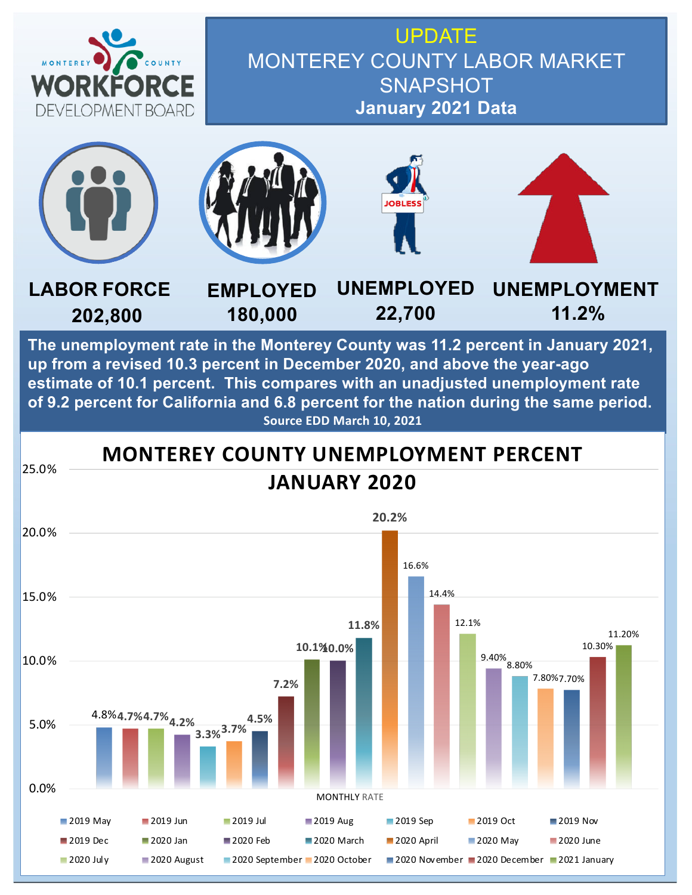

UPDATE MONTEREY COUNTY LABOR MARKET **SNAPSHOT January 2021 Data**



**The unemployment rate in the Monterey County was 11.2 percent in January 2021, up from a revised 10.3 percent in December 2020, and above the year-ago estimate of 10.1 percent. This compares with an unadjusted unemployment rate of 9.2 percent for California and 6.8 percent for the nation during the same period. Source EDD March 10, 2021**

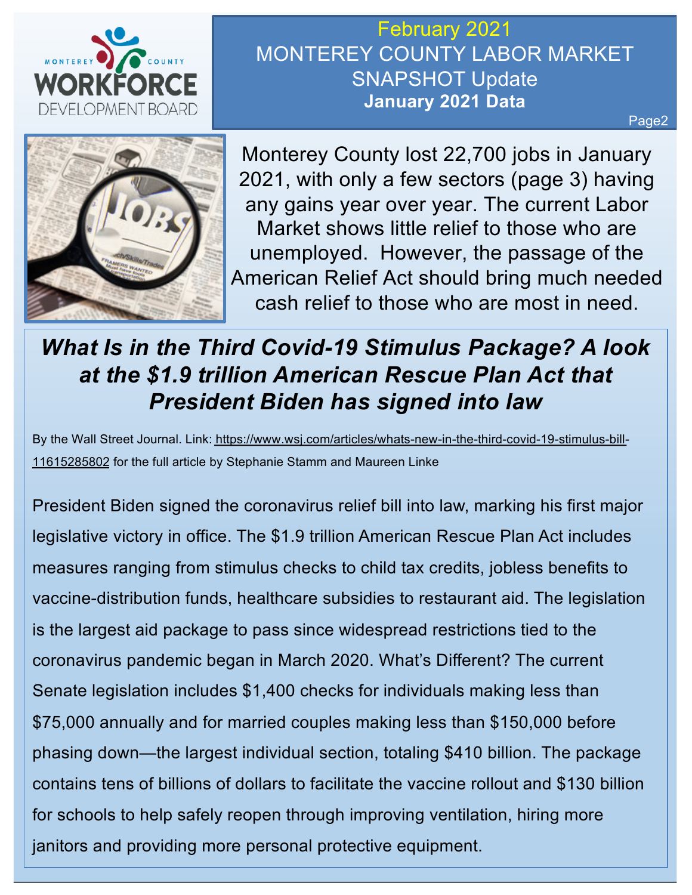

February 2021 MONTEREY COUNTY LABOR MARKET SNAPSHOT Update **January 2021 Data**

Page2



Monterey County lost 22,700 jobs in January 2021, with only a few sectors (page 3) having any gains year over year. The current Labor Market shows little relief to those who are unemployed. However, the passage of the American Relief Act should bring much needed cash relief to those who are most in need.

## *What Is in the Third Covid-19 Stimulus Package? A look at the \$1.9 trillion American Rescue Plan Act that President Biden has signed into law*

[By the Wall Street Journal. Link: https://www.wsj.com/articles/whats-new-in-the-third-covid-19-stimulus-b](https://www.wsj.com/articles/whats-new-in-the-third-covid-19-stimulus-bill-11615285802)ill-11615285802 for the full article by Stephanie Stamm and Maureen Linke

President Biden signed the coronavirus relief bill into law, marking his first major legislative victory in office. The \$1.9 trillion American Rescue Plan Act includes measures ranging from stimulus checks to child tax credits, jobless benefits to vaccine-distribution funds, healthcare subsidies to restaurant aid. The legislation is the largest aid package to pass since widespread restrictions tied to the coronavirus pandemic began in March 2020. What's Different? The current Senate legislation includes \$1,400 checks for individuals making less than \$75,000 annually and for married couples making less than \$150,000 before phasing down—the largest individual section, totaling \$410 billion. The package contains tens of billions of dollars to facilitate the vaccine rollout and \$130 billion for schools to help safely reopen through improving ventilation, hiring more janitors and providing more personal protective equipment.